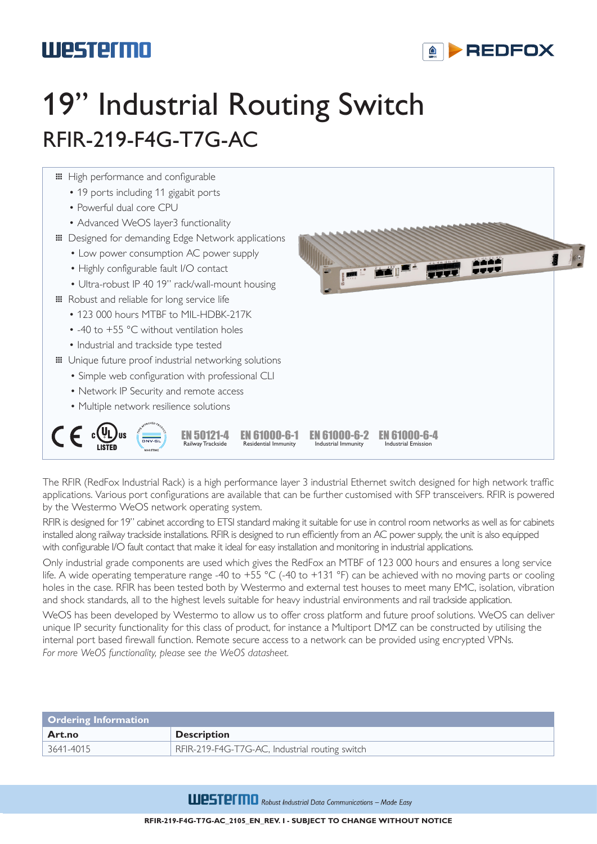## Westermo

### **AD-REDFOX**

# 19" Industrial Routing Switch RFIR-219-F4G-T7G-AC



The RFIR (RedFox Industrial Rack) is a high performance layer 3 industrial Ethernet switch designed for high network traffic applications. Various port configurations are available that can be further customised with SFP transceivers. RFIR is powered by the Westermo WeOS network operating system.

RFIR is designed for 19" cabinet according to ETSI standard making it suitable for use in control room networks as well as for cabinets installed along railway trackside installations. RFIR is designed to run efficiently from an AC power supply, the unit is also equipped with configurable I/O fault contact that make it ideal for easy installation and monitoring in industrial applications.

Only industrial grade components are used which gives the RedFox an MTBF of 123 000 hours and ensures a long service life. A wide operating temperature range -40 to +55 °C (-40 to +131 °F) can be achieved with no moving parts or cooling holes in the case. RFIR has been tested both by Westermo and external test houses to meet many EMC, isolation, vibration and shock standards, all to the highest levels suitable for heavy industrial environments and rail trackside application.

WeOS has been developed by Westermo to allow us to offer cross platform and future proof solutions. WeOS can deliver unique IP security functionality for this class of product, for instance a Multiport DMZ can be constructed by utilising the internal port based firewall function. Remote secure access to a network can be provided using encrypted VPNs. *For more WeOS functionality, please see the WeOS datasheet.*

| <b>Ordering Information</b> |                                                |  |
|-----------------------------|------------------------------------------------|--|
| Art.no                      | <b>Description</b>                             |  |
| 3641-4015                   | RFIR-219-F4G-T7G-AC, Industrial routing switch |  |